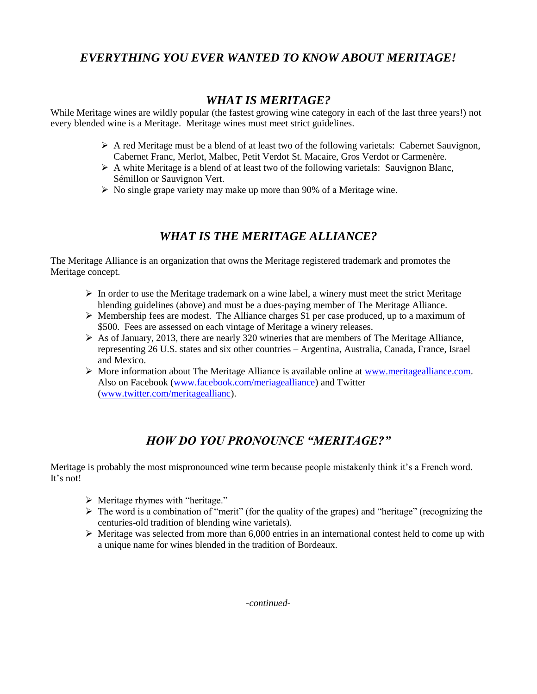# *EVERYTHING YOU EVER WANTED TO KNOW ABOUT MERITAGE!*

### *WHAT IS MERITAGE?*

While Meritage wines are wildly popular (the fastest growing wine category in each of the last three years!) not every blended wine is a Meritage. Meritage wines must meet strict guidelines.

- $\triangleright$  A red Meritage must be a blend of at least two of the following varietals: Cabernet Sauvignon, Cabernet Franc, Merlot, Malbec, Petit Verdot St. Macaire, Gros Verdot or Carmenère.
- $\triangleright$  A white Meritage is a blend of at least two of the following varietals: Sauvignon Blanc, Sémillon or Sauvignon Vert.
- $\triangleright$  No single grape variety may make up more than 90% of a Meritage wine.

## *WHAT IS THE MERITAGE ALLIANCE?*

The Meritage Alliance is an organization that owns the Meritage registered trademark and promotes the Meritage concept.

- $\triangleright$  In order to use the Meritage trademark on a wine label, a winery must meet the strict Meritage blending guidelines (above) and must be a dues-paying member of The Meritage Alliance.
- $\triangleright$  Membership fees are modest. The Alliance charges \$1 per case produced, up to a maximum of \$500. Fees are assessed on each vintage of Meritage a winery releases.
- $\triangleright$  As of January, 2013, there are nearly 320 wineries that are members of The Meritage Alliance, representing 26 U.S. states and six other countries – Argentina, Australia, Canada, France, Israel and Mexico.
- $\triangleright$  More information about The Meritage Alliance is available online at [www.meritagealliance.com.](http://www.meritagealliance.com/) Also on Facebook [\(www.facebook.com/meriagealliance\)](http://www.facebook.com/meriagealliance) and Twitter [\(www.twitter.com/meritageallianc\)](http://www.twitter.com/meritageallianc).

# *HOW DO YOU PRONOUNCE "MERITAGE?"*

Meritage is probably the most mispronounced wine term because people mistakenly think it's a French word. It's not!

- $\triangleright$  Meritage rhymes with "heritage."
- $\triangleright$  The word is a combination of "merit" (for the quality of the grapes) and "heritage" (recognizing the centuries-old tradition of blending wine varietals).
- $\triangleright$  Meritage was selected from more than 6,000 entries in an international contest held to come up with a unique name for wines blended in the tradition of Bordeaux.

*-continued-*